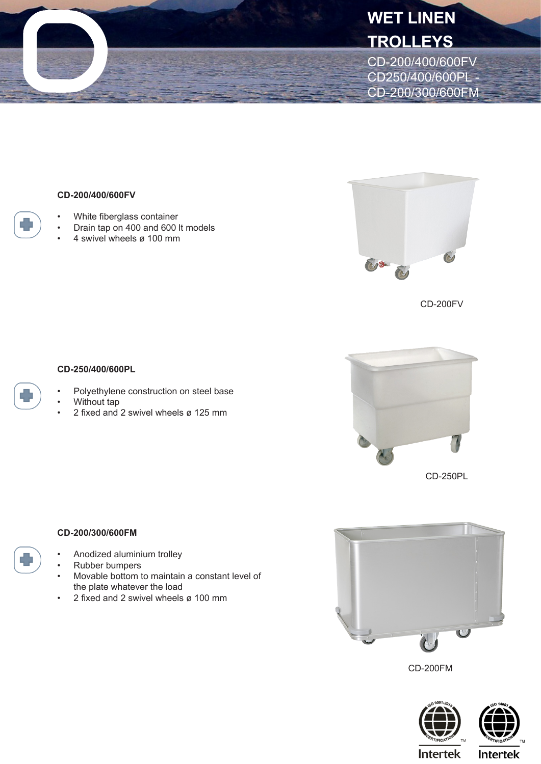

## **CD-200/400/600FV**

- White fiberglass container
- Drain tap on 400 and 600 lt models
- 4 swivel wheels ø 100 mm



CD-200FV

## **CD-250/400/600PL**

- Polyethylene construction on steel base
- Without tap
- 2 fixed and 2 swivel wheels ø 125 mm



**CD-200/300/600FM**

- Anodized aluminium trolley
- Rubber bumpers
- Movable bottom to maintain a constant level of the plate whatever the load
- 2 fixed and 2 swivel wheels ø 100 mm



CD-200FM





**Intertek**